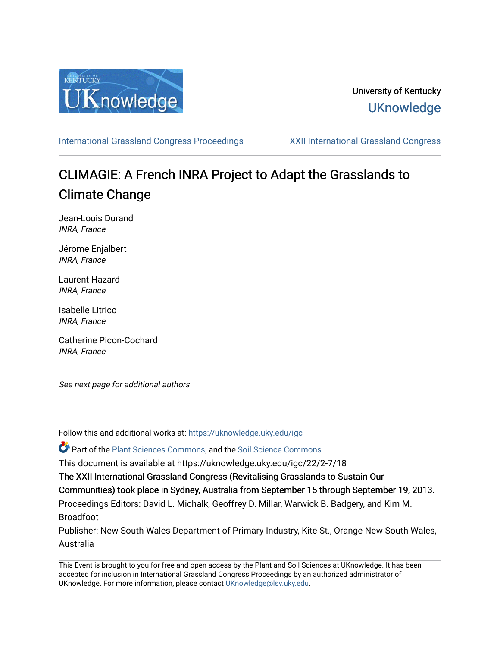

## University of Kentucky **UKnowledge**

[International Grassland Congress Proceedings](https://uknowledge.uky.edu/igc) [XXII International Grassland Congress](https://uknowledge.uky.edu/igc/22) 

# CLIMAGIE: A French INRA Project to Adapt the Grasslands to Climate Change

Jean-Louis Durand INRA, France

Jérome Enjalbert INRA, France

Laurent Hazard INRA, France

Isabelle Litrico INRA, France

Catherine Picon-Cochard INRA, France

See next page for additional authors

Follow this and additional works at: [https://uknowledge.uky.edu/igc](https://uknowledge.uky.edu/igc?utm_source=uknowledge.uky.edu%2Figc%2F22%2F2-7%2F18&utm_medium=PDF&utm_campaign=PDFCoverPages) 

Part of the [Plant Sciences Commons](http://network.bepress.com/hgg/discipline/102?utm_source=uknowledge.uky.edu%2Figc%2F22%2F2-7%2F18&utm_medium=PDF&utm_campaign=PDFCoverPages), and the [Soil Science Commons](http://network.bepress.com/hgg/discipline/163?utm_source=uknowledge.uky.edu%2Figc%2F22%2F2-7%2F18&utm_medium=PDF&utm_campaign=PDFCoverPages) 

This document is available at https://uknowledge.uky.edu/igc/22/2-7/18

The XXII International Grassland Congress (Revitalising Grasslands to Sustain Our

Communities) took place in Sydney, Australia from September 15 through September 19, 2013.

Proceedings Editors: David L. Michalk, Geoffrey D. Millar, Warwick B. Badgery, and Kim M. Broadfoot

Publisher: New South Wales Department of Primary Industry, Kite St., Orange New South Wales, Australia

This Event is brought to you for free and open access by the Plant and Soil Sciences at UKnowledge. It has been accepted for inclusion in International Grassland Congress Proceedings by an authorized administrator of UKnowledge. For more information, please contact [UKnowledge@lsv.uky.edu](mailto:UKnowledge@lsv.uky.edu).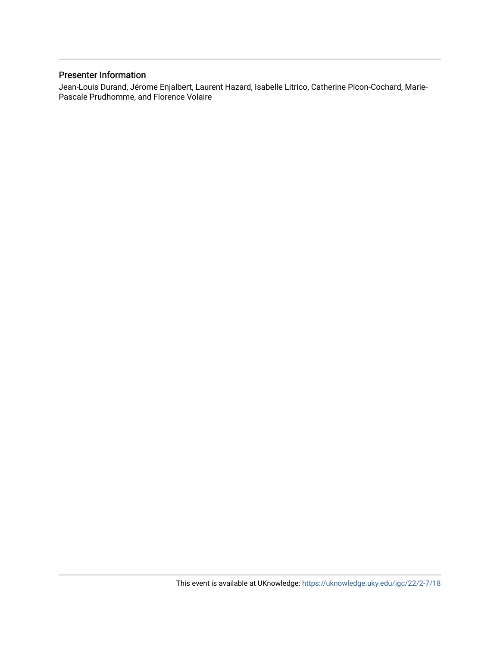### Presenter Information

Jean-Louis Durand, Jérome Enjalbert, Laurent Hazard, Isabelle Litrico, Catherine Picon-Cochard, Marie-Pascale Prudhomme, and Florence Volaire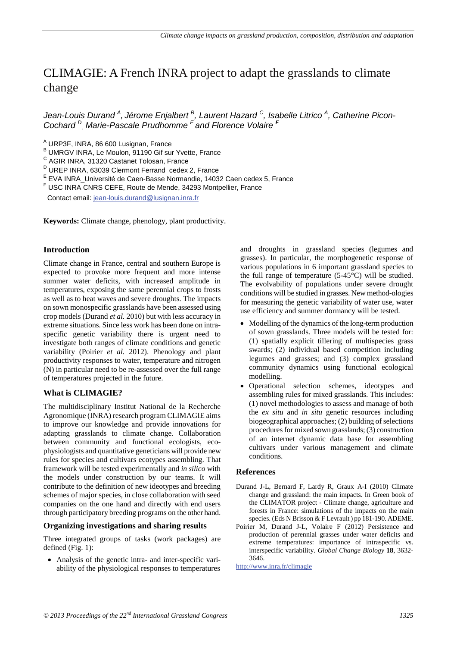## CLIMAGIE: A French INRA project to adapt the grasslands to climate change

*Jean-Louis Durand <sup>A</sup> , Jérome Enjalbert <sup>B</sup> , Laurent Hazard C, Isabelle Litrico A , Catherine Picon-Cochard <sup>D</sup> , Marie-Pascale Prudhomme E and Florence Volaire <sup>F</sup>*

<sup>A</sup> URP3F, INRA, 86 600 Lusignan, France

 $B$  UMRGV INRA, Le Moulon, 91190 Gif sur Yvette, France C AGIR INRA, 31320 Castanet Tolosan, France

- $D$  UREP INRA, 63039 Clermont Ferrand cedex 2, France
- <sup>E</sup> EVA INRA\_Université de Caen-Basse Normandie, 14032 Caen cedex 5, France<br><sup>F</sup> USC INRA CNRS CEFE, Route de Mende, 34293 Montpellier, France
- 

Contact email: jean-louis.durand@lusignan.inra.fr

**Keywords:** Climate change, phenology, plant productivity.

#### **Introduction**

Climate change in France, central and southern Europe is expected to provoke more frequent and more intense summer water deficits, with increased amplitude in temperatures, exposing the same perennial crops to frosts as well as to heat waves and severe droughts. The impacts on sown monospecific grasslands have been assessed using crop models (Durand *et al.* 2010) but with less accuracy in extreme situations. Since less work has been done on intraspecific genetic variability there is urgent need to investigate both ranges of climate conditions and genetic variability (Poirier *et al.* 2012). Phenology and plant productivity responses to water, temperature and nitrogen (N) in particular need to be re-assessed over the full range of temperatures projected in the future.

#### **What is CLIMAGIE?**

The multidisciplinary Institut National de la Recherche Agronomique (INRA) research program CLIMAGIE aims to improve our knowledge and provide innovations for adapting grasslands to climate change. Collaboration between community and functional ecologists, ecophysiologists and quantitative geneticians will provide new rules for species and cultivars ecotypes assembling. That framework will be tested experimentally and *in silico* with the models under construction by our teams. It will contribute to the definition of new ideotypes and breeding schemes of major species, in close collaboration with seed companies on the one hand and directly with end users through participatory breeding programs on the other hand.

#### **Organizing investigations and sharing results**

Three integrated groups of tasks (work packages) are defined (Fig. 1):

• Analysis of the genetic intra- and inter-specific variability of the physiological responses to temperatures and droughts in grassland species (legumes and grasses). In particular, the morphogenetic response of various populations in 6 important grassland species to the full range of temperature  $(5-45^{\circ}C)$  will be studied. The evolvability of populations under severe drought conditions will be studied in grasses. New method-ologies for measuring the genetic variability of water use, water use efficiency and summer dormancy will be tested.

- Modelling of the dynamics of the long-term production of sown grasslands. Three models will be tested for: (1) spatially explicit tillering of multispecies grass swards; (2) individual based competition including legumes and grasses; and (3) complex grassland community dynamics using functional ecological modelling.
- Operational selection schemes, ideotypes and assembling rules for mixed grasslands. This includes: (1) novel methodologies to assess and manage of both the *ex situ* and *in situ* genetic resources including biogeographical approaches; (2) building of selections procedures for mixed sown grasslands; (3) construction of an internet dynamic data base for assembling cultivars under various management and climate conditions.

#### **References**

- Durand J-L, Bernard F, Lardy R, Graux A-I (2010) Climate change and grassland: the main impacts. In Green book of the CLIMATOR project - Climate change, agriculture and forests in France: simulations of the impacts on the main species. (Eds N Brisson & F Levrault ) pp 181-190. ADEME.
- Poirier M, Durand J-L, Volaire F (2012) Persistence and production of perennial grasses under water deficits and extreme temperatures: importance of intraspecific vs. interspecific variability. *Global Change Biology* **18**, 3632- 3646.

http://www.inra.fr/climagie